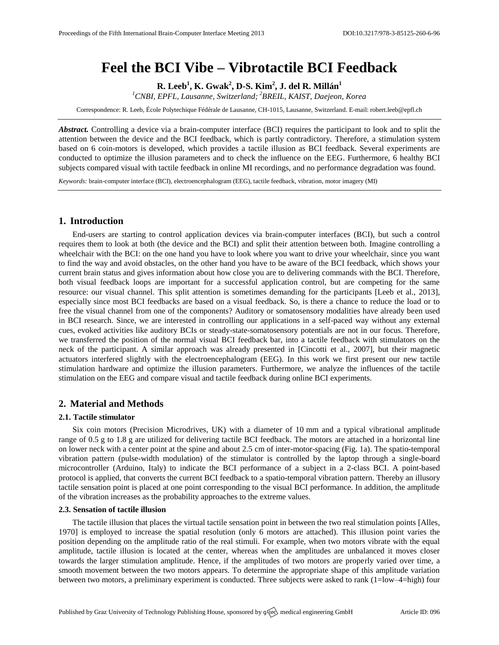# **Feel the BCI Vibe – Vibrotactile BCI Feedback**

**R. Leeb<sup>1</sup> , K. Gwak<sup>2</sup> , D-S. Kim<sup>2</sup> , J. del R. Millán<sup>1</sup>**

*<sup>1</sup>CNBI, EPFL, Lausanne, Switzerland; <sup>2</sup>BREIL, KAIST, Daejeon, Korea*

Correspondence: R. Leeb, École Polytechique Fédérale de Lausanne, CH-1015, Lausanne, Switzerland. E-mail[: robert.leeb@epfl.ch](mailto:robert.leeb@epfl.ch)

*Abstract.* Controlling a device via a brain-computer interface (BCI) requires the participant to look and to split the attention between the device and the BCI feedback, which is partly contradictory. Therefore, a stimulation system based on 6 coin-motors is developed, which provides a tactile illusion as BCI feedback. Several experiments are conducted to optimize the illusion parameters and to check the influence on the EEG. Furthermore, 6 healthy BCI subjects compared visual with tactile feedback in online MI recordings, and no performance degradation was found.

*Keywords:* brain-computer interface (BCI), electroencephalogram (EEG), tactile feedback, vibration, motor imagery (MI)

## **1. Introduction**

End-users are starting to control application devices via brain-computer interfaces (BCI), but such a control requires them to look at both (the device and the BCI) and split their attention between both. Imagine controlling a wheelchair with the BCI: on the one hand you have to look where you want to drive your wheelchair, since you want to find the way and avoid obstacles, on the other hand you have to be aware of the BCI feedback, which shows your current brain status and gives information about how close you are to delivering commands with the BCI. Therefore, both visual feedback loops are important for a successful application control, but are competing for the same resource: our visual channel. This split attention is sometimes demanding for the participants [Leeb et al., 2013], especially since most BCI feedbacks are based on a visual feedback. So, is there a chance to reduce the load or to free the visual channel from one of the components? Auditory or somatosensory modalities have already been used in BCI research. Since, we are interested in controlling our applications in a self-paced way without any external cues, evoked activities like auditory BCIs or steady-state-somatosensory potentials are not in our focus. Therefore, we transferred the position of the normal visual BCI feedback bar, into a tactile feedback with stimulators on the neck of the participant. A similar approach was already presented in [Cincotti et al., 2007], but their magnetic actuators interfered slightly with the electroencephalogram (EEG). In this work we first present our new tactile stimulation hardware and optimize the illusion parameters. Furthermore, we analyze the influences of the tactile stimulation on the EEG and compare visual and tactile feedback during online BCI experiments.

# **2. Material and Methods**

### **2.1. Tactile stimulator**

Six coin motors (Precision Microdrives, UK) with a diameter of 10 mm and a typical vibrational amplitude range of 0.5 g to 1.8 g are utilized for delivering tactile BCI feedback. The motors are attached in a horizontal line on lower neck with a center point at the spine and about 2.5 cm of inter-motor-spacing (Fig. 1a). The spatio-temporal vibration pattern (pulse-width modulation) of the stimulator is controlled by the laptop through a single-board microcontroller (Arduino, Italy) to indicate the BCI performance of a subject in a 2-class BCI. A point-based protocol is applied, that converts the current BCI feedback to a spatio-temporal vibration pattern. Thereby an illusory tactile sensation point is placed at one point corresponding to the visual BCI performance. In addition, the amplitude of the vibration increases as the probability approaches to the extreme values.

## **2.3. Sensation of tactile illusion**

The tactile illusion that places the virtual tactile sensation point in between the two real stimulation points [Alles, 1970] is employed to increase the spatial resolution (only 6 motors are attached). This illusion point varies the position depending on the amplitude ratio of the real stimuli. For example, when two motors vibrate with the equal amplitude, tactile illusion is located at the center, whereas when the amplitudes are unbalanced it moves closer towards the larger stimulation amplitude. Hence, if the amplitudes of two motors are properly varied over time, a smooth movement between the two motors appears. To determine the appropriate shape of this amplitude variation between two motors, a preliminary experiment is conducted. Three subjects were asked to rank (1=low–4=high) four